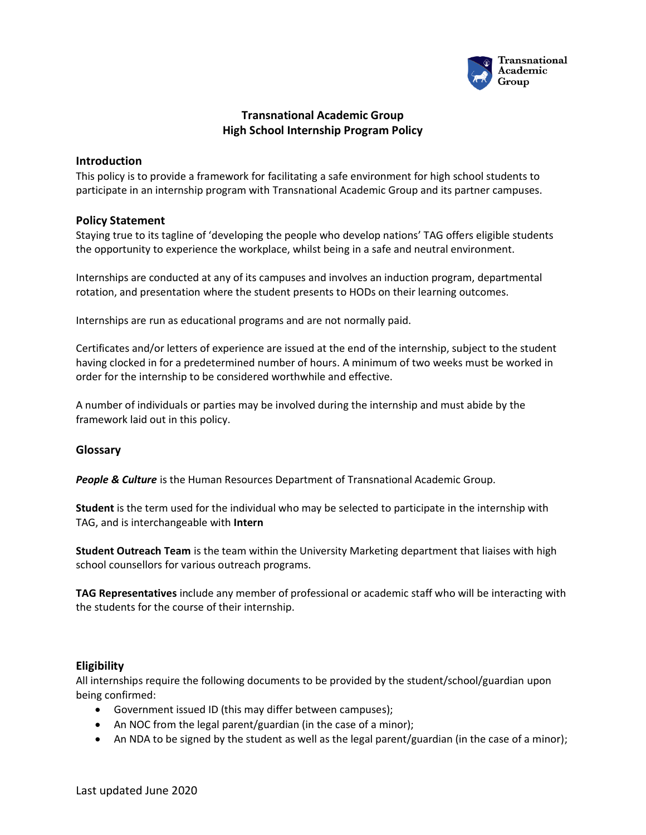

# **Transnational Academic Group High School Internship Program Policy**

### **Introduction**

This policy is to provide a framework for facilitating a safe environment for high school students to participate in an internship program with Transnational Academic Group and its partner campuses.

### **Policy Statement**

Staying true to its tagline of 'developing the people who develop nations' TAG offers eligible students the opportunity to experience the workplace, whilst being in a safe and neutral environment.

Internships are conducted at any of its campuses and involves an induction program, departmental rotation, and presentation where the student presents to HODs on their learning outcomes.

Internships are run as educational programs and are not normally paid.

Certificates and/or letters of experience are issued at the end of the internship, subject to the student having clocked in for a predetermined number of hours. A minimum of two weeks must be worked in order for the internship to be considered worthwhile and effective.

A number of individuals or parties may be involved during the internship and must abide by the framework laid out in this policy.

## **Glossary**

*People & Culture* is the Human Resources Department of Transnational Academic Group.

**Student** is the term used for the individual who may be selected to participate in the internship with TAG, and is interchangeable with **Intern**

**Student Outreach Team** is the team within the University Marketing department that liaises with high school counsellors for various outreach programs.

**TAG Representatives** include any member of professional or academic staff who will be interacting with the students for the course of their internship.

### **Eligibility**

All internships require the following documents to be provided by the student/school/guardian upon being confirmed:

- Government issued ID (this may differ between campuses);
- An NOC from the legal parent/guardian (in the case of a minor);
- An NDA to be signed by the student as well as the legal parent/guardian (in the case of a minor);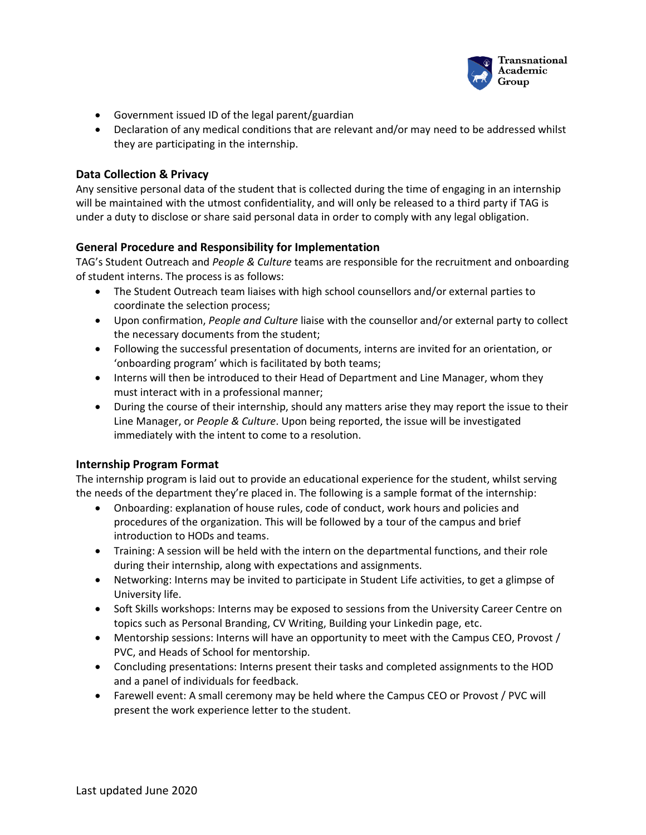

- Government issued ID of the legal parent/guardian
- Declaration of any medical conditions that are relevant and/or may need to be addressed whilst they are participating in the internship.

### **Data Collection & Privacy**

Any sensitive personal data of the student that is collected during the time of engaging in an internship will be maintained with the utmost confidentiality, and will only be released to a third party if TAG is under a duty to disclose or share said personal data in order to comply with any legal obligation.

### **General Procedure and Responsibility for Implementation**

TAG's Student Outreach and *People & Culture* teams are responsible for the recruitment and onboarding of student interns. The process is as follows:

- The Student Outreach team liaises with high school counsellors and/or external parties to coordinate the selection process;
- Upon confirmation, *People and Culture* liaise with the counsellor and/or external party to collect the necessary documents from the student;
- Following the successful presentation of documents, interns are invited for an orientation, or 'onboarding program' which is facilitated by both teams;
- Interns will then be introduced to their Head of Department and Line Manager, whom they must interact with in a professional manner;
- During the course of their internship, should any matters arise they may report the issue to their Line Manager, or *People & Culture*. Upon being reported, the issue will be investigated immediately with the intent to come to a resolution.

### **Internship Program Format**

The internship program is laid out to provide an educational experience for the student, whilst serving the needs of the department they're placed in. The following is a sample format of the internship:

- Onboarding: explanation of house rules, code of conduct, work hours and policies and procedures of the organization. This will be followed by a tour of the campus and brief introduction to HODs and teams.
- Training: A session will be held with the intern on the departmental functions, and their role during their internship, along with expectations and assignments.
- Networking: Interns may be invited to participate in Student Life activities, to get a glimpse of University life.
- Soft Skills workshops: Interns may be exposed to sessions from the University Career Centre on topics such as Personal Branding, CV Writing, Building your Linkedin page, etc.
- Mentorship sessions: Interns will have an opportunity to meet with the Campus CEO, Provost / PVC, and Heads of School for mentorship.
- Concluding presentations: Interns present their tasks and completed assignments to the HOD and a panel of individuals for feedback.
- Farewell event: A small ceremony may be held where the Campus CEO or Provost / PVC will present the work experience letter to the student.